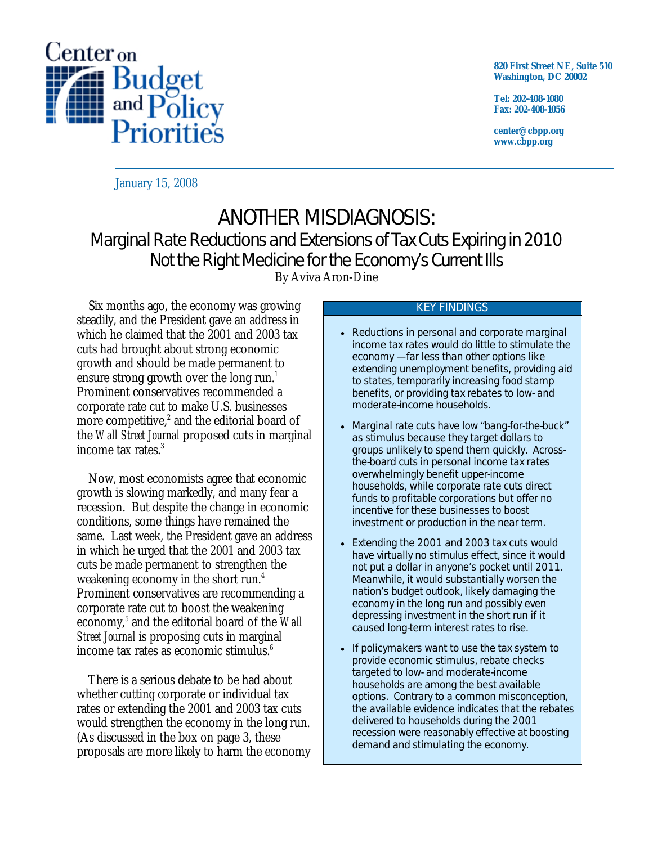

**820 First Street NE, Suite 510 Washington, DC 20002** 

**Tel: 202-408-1080 Fax: 202-408-1056** 

**center@cbpp.org www.cbpp.org** 

January 15, 2008

# ANOTHER MISDIAGNOSIS: Marginal Rate Reductions and Extensions of Tax Cuts Expiring in 2010 Not the Right Medicine for the Economy's Current Ills By Aviva Aron-Dine

 Six months ago, the economy was growing steadily, and the President gave an address in which he claimed that the 2001 and 2003 tax cuts had brought about strong economic growth and should be made permanent to ensure strong growth over the long run.<sup>1</sup> Prominent conservatives recommended a corporate rate cut to make U.S. businesses more competitive, $2$  and the editorial board of the *Wall Street Journal* proposed cuts in marginal income tax rates.<sup>3</sup>

 Now, most economists agree that economic growth is slowing markedly, and many fear a recession. But despite the change in economic conditions, some things have remained the same. Last week, the President gave an address in which he urged that the 2001 and 2003 tax cuts be made permanent to strengthen the weakening economy in the short run.<sup>4</sup> Prominent conservatives are recommending a corporate rate cut to boost the weakening economy,<sup>5</sup> and the editorial board of the *Wall Street Journal* is proposing cuts in marginal income tax rates as economic stimulus. $6$ 

 There is a serious debate to be had about whether cutting corporate or individual tax rates or extending the 2001 and 2003 tax cuts would strengthen the economy in the long run. (As discussed in the box on page 3, these proposals are more likely to harm the economy

#### KEY FINDINGS

- Reductions in personal and corporate marginal income tax rates would do little to stimulate the economy — far less than other options like extending unemployment benefits, providing aid to states, temporarily increasing food stamp benefits, or providing tax rebates to low- and moderate-income households.
- Marginal rate cuts have low "bang-for-the-buck" as stimulus because they target dollars to groups unlikely to spend them quickly. Acrossthe-board cuts in personal income tax rates overwhelmingly benefit upper-income households, while corporate rate cuts direct funds to profitable corporations but offer no incentive for these businesses to boost investment or production in the near term.
- Extending the 2001 and 2003 tax cuts would have virtually no stimulus effect, since it would not put a dollar in anyone's pocket until 2011. Meanwhile, it would substantially worsen the nation's budget outlook, likely damaging the economy in the long run and possibly even depressing investment in the short run if it caused long-term interest rates to rise.
- If policymakers want to use the tax system to provide economic stimulus, rebate checks targeted to low- and moderate-income households are among the best available options. Contrary to a common misconception, the available evidence indicates that the rebates delivered to households during the 2001 recession were reasonably effective at boosting demand and stimulating the economy.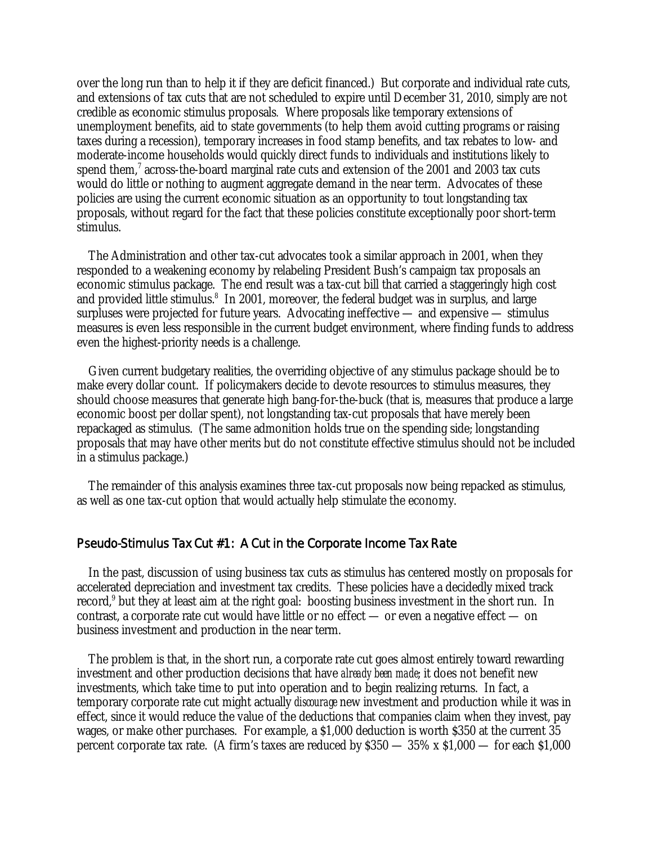over the long run than to help it if they are deficit financed.) But corporate and individual rate cuts, and extensions of tax cuts that are not scheduled to expire until December 31, 2010, simply are not credible as economic stimulus proposals*.* Where proposals like temporary extensions of unemployment benefits, aid to state governments (to help them avoid cutting programs or raising taxes during a recession), temporary increases in food stamp benefits, and tax rebates to low- and moderate-income households would quickly direct funds to individuals and institutions likely to spend them, $7$  across-the-board marginal rate cuts and extension of the 2001 and 2003 tax cuts would do little or nothing to augment aggregate demand in the near term. Advocates of these policies are using the current economic situation as an opportunity to tout longstanding tax proposals, without regard for the fact that these policies constitute exceptionally poor short-term stimulus.

 The Administration and other tax-cut advocates took a similar approach in 2001, when they responded to a weakening economy by relabeling President Bush's campaign tax proposals an economic stimulus package. The end result was a tax-cut bill that carried a staggeringly high cost and provided little stimulus.<sup>8</sup> In 2001, moreover, the federal budget was in surplus, and large surpluses were projected for future years. Advocating ineffective — and expensive — stimulus measures is even less responsible in the current budget environment, where finding funds to address even the highest-priority needs is a challenge.

 Given current budgetary realities, the overriding objective of any stimulus package should be to make every dollar count. If policymakers decide to devote resources to stimulus measures, they should choose measures that generate high bang-for-the-buck (that is, measures that produce a large economic boost per dollar spent), not longstanding tax-cut proposals that have merely been repackaged as stimulus. (The same admonition holds true on the spending side; longstanding proposals that may have other merits but do not constitute effective stimulus should not be included in a stimulus package.)

 The remainder of this analysis examines three tax-cut proposals now being repacked as stimulus, as well as one tax-cut option that would actually help stimulate the economy.

#### Pseudo-Stimulus Tax Cut #1: A Cut in the Corporate Income Tax Rate

 In the past, discussion of using business tax cuts as stimulus has centered mostly on proposals for accelerated depreciation and investment tax credits. These policies have a decidedly mixed track record,<sup>9</sup> but they at least aim at the right goal: boosting business investment in the short run. In contrast, a corporate rate cut would have little or no effect — or even a negative effect — on business investment and production in the near term.

 The problem is that, in the short run, a corporate rate cut goes almost entirely toward rewarding investment and other production decisions that have *already been made*; it does not benefit new investments, which take time to put into operation and to begin realizing returns. In fact, a temporary corporate rate cut might actually *discourage* new investment and production while it was in effect, since it would reduce the value of the deductions that companies claim when they invest, pay wages, or make other purchases. For example, a \$1,000 deduction is worth \$350 at the current 35 percent corporate tax rate. (A firm's taxes are reduced by \$350 — 35% x \$1,000 — for each \$1,000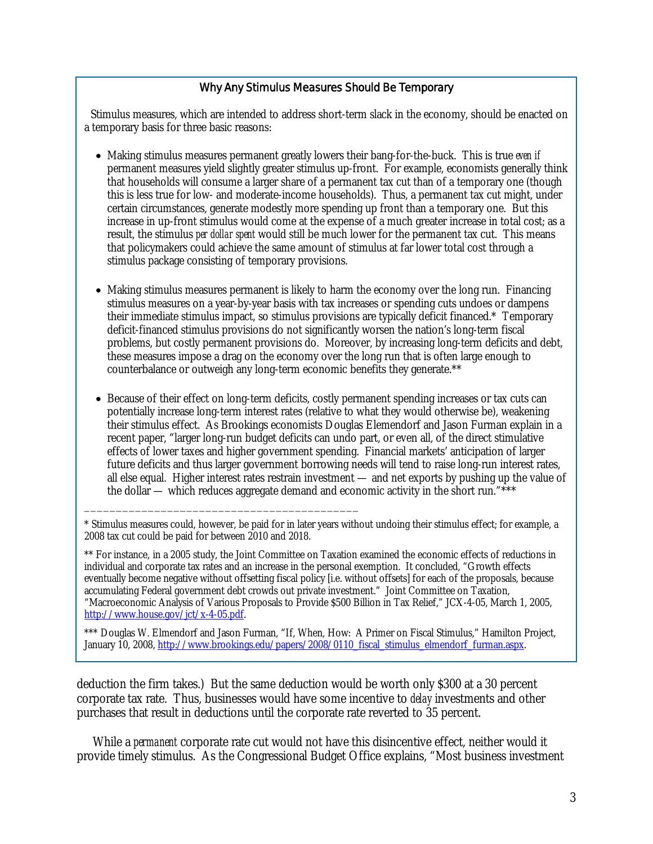## Why Any Stimulus Measures Should Be Temporary

Stimulus measures, which are intended to address short-term slack in the economy, should be enacted on a temporary basis for three basic reasons:

- Making stimulus measures permanent greatly lowers their bang-for-the-buck. This is true *even if* permanent measures yield slightly greater stimulus up-front. For example, economists generally think that households will consume a larger share of a permanent tax cut than of a temporary one (though this is less true for low- and moderate-income households). Thus, a permanent tax cut might, under certain circumstances, generate modestly more spending up front than a temporary one. But this increase in up-front stimulus would come at the expense of a much greater increase in total cost; as a result, the stimulus *per dollar spent* would still be much lower for the permanent tax cut. This means that policymakers could achieve the same amount of stimulus at far lower total cost through a stimulus package consisting of temporary provisions.
- Making stimulus measures permanent is likely to harm the economy over the long run. Financing stimulus measures on a year-by-year basis with tax increases or spending cuts undoes or dampens their immediate stimulus impact, so stimulus provisions are typically deficit financed.\* Temporary deficit-financed stimulus provisions do not significantly worsen the nation's long-term fiscal problems, but costly permanent provisions do. Moreover, by increasing long-term deficits and debt, these measures impose a drag on the economy over the long run that is often large enough to counterbalance or outweigh any long-term economic benefits they generate.\*\*
- Because of their effect on long-term deficits, costly permanent spending increases or tax cuts can potentially increase long-term interest rates (relative to what they would otherwise be), weakening their stimulus effect. As Brookings economists Douglas Elemendorf and Jason Furman explain in a recent paper, "larger long-run budget deficits can undo part, or even all, of the direct stimulative effects of lower taxes and higher government spending. Financial markets' anticipation of larger future deficits and thus larger government borrowing needs will tend to raise long-run interest rates, all else equal. Higher interest rates restrain investment — and net exports by pushing up the value of the dollar — which reduces aggregate demand and economic activity in the short run."\*\*\*

\* Stimulus measures could, however, be paid for in later years without undoing their stimulus effect; for example, a 2008 tax cut could be paid for between 2010 and 2018.

\_\_\_\_\_\_\_\_\_\_\_\_\_\_\_\_\_\_\_\_\_\_\_\_\_\_\_\_\_\_\_\_\_\_\_\_\_\_\_\_\_\_\_

\*\* For instance, in a 2005 study, the Joint Committee on Taxation examined the economic effects of reductions in individual and corporate tax rates and an increase in the personal exemption. It concluded, "Growth effects eventually become negative without offsetting fiscal policy [i.e. without offsets] for each of the proposals, because accumulating Federal government debt crowds out private investment." Joint Committee on Taxation, "Macroeconomic Analysis of Various Proposals to Provide \$500 Billion in Tax Relief," JCX-4-05, March 1, 2005, http://www.house.gov/jct/x-4-05.pdf.

\*\*\* Douglas W. Elmendorf and Jason Furman, "If, When, How: A Primer on Fiscal Stimulus," Hamilton Project, January 10, 2008, http://www.brookings.edu/papers/2008/0110\_fiscal\_stimulus\_elmendorf\_furman.aspx.

deduction the firm takes.) But the same deduction would be worth only \$300 at a 30 percent corporate tax rate. Thus, businesses would have some incentive to *delay* investments and other purchases that result in deductions until the corporate rate reverted to 35 percent.

 While a *permanent* corporate rate cut would not have this disincentive effect, neither would it provide timely stimulus. As the Congressional Budget Office explains, "Most business investment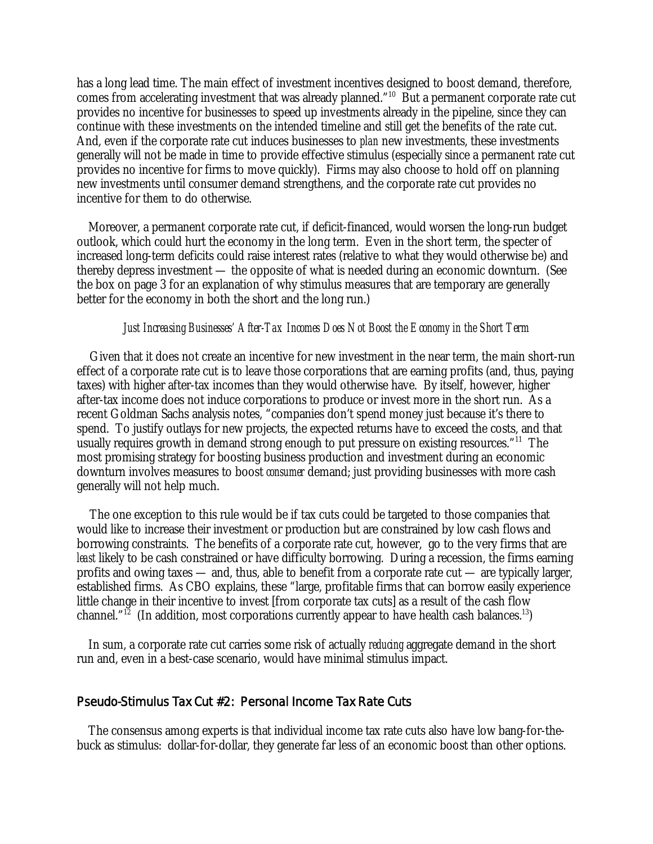has a long lead time. The main effect of investment incentives designed to boost demand, therefore, comes from accelerating investment that was already planned."10 But a permanent corporate rate cut provides no incentive for businesses to speed up investments already in the pipeline, since they can continue with these investments on the intended timeline and still get the benefits of the rate cut. And, even if the corporate rate cut induces businesses to *plan* new investments, these investments generally will not be made in time to provide effective stimulus (especially since a permanent rate cut provides no incentive for firms to move quickly). Firms may also choose to hold off on planning new investments until consumer demand strengthens, and the corporate rate cut provides no incentive for them to do otherwise.

 Moreover, a permanent corporate rate cut, if deficit-financed, would worsen the long-run budget outlook, which could hurt the economy in the long term. Even in the short term, the specter of increased long-term deficits could raise interest rates (relative to what they would otherwise be) and thereby depress investment — the opposite of what is needed during an economic downturn. (See the box on page 3 for an explanation of why stimulus measures that are temporary are generally better for the economy in both the short and the long run.)

#### *Just Increasing Businesses' After-Tax Incomes Does Not Boost the Economy in the Short Term*

Given that it does not create an incentive for new investment in the near term, the main short-run effect of a corporate rate cut is to leave those corporations that are earning profits (and, thus, paying taxes) with higher after-tax incomes than they would otherwise have. By itself, however, higher after-tax income does not induce corporations to produce or invest more in the short run. As a recent Goldman Sachs analysis notes, "companies don't spend money just because it's there to spend. To justify outlays for new projects, the expected returns have to exceed the costs, and that usually requires growth in demand strong enough to put pressure on existing resources."11 The most promising strategy for boosting business production and investment during an economic downturn involves measures to boost *consumer* demand; just providing businesses with more cash generally will not help much.

The one exception to this rule would be if tax cuts could be targeted to those companies that would like to increase their investment or production but are constrained by low cash flows and borrowing constraints. The benefits of a corporate rate cut, however, go to the very firms that are *least* likely to be cash constrained or have difficulty borrowing. During a recession, the firms earning profits and owing taxes — and, thus, able to benefit from a corporate rate cut — are typically larger, established firms. As CBO explains, these "large, profitable firms that can borrow easily experience little change in their incentive to invest [from corporate tax cuts] as a result of the cash flow channel."<sup>12</sup> (In addition, most corporations currently appear to have health cash balances.<sup>13</sup>)

 In sum, a corporate rate cut carries some risk of actually *reducing* aggregate demand in the short run and, even in a best-case scenario, would have minimal stimulus impact.

#### Pseudo-Stimulus Tax Cut #2: Personal Income Tax Rate Cuts

 The consensus among experts is that individual income tax rate cuts also have low bang-for-thebuck as stimulus: dollar-for-dollar, they generate far less of an economic boost than other options.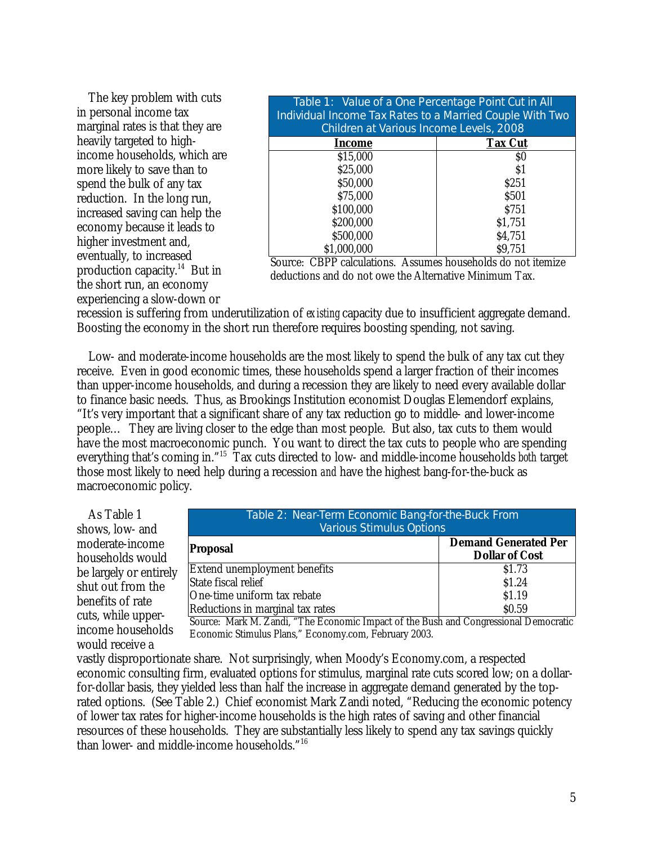The key problem with cuts in personal income tax marginal rates is that they are heavily targeted to highincome households, which are more likely to save than to spend the bulk of any tax reduction. In the long run, increased saving can help the economy because it leads to higher investment and, eventually, to increased production capacity.<sup>14</sup> But in the short run, an economy experiencing a slow-down or

| Table 1: Value of a One Percentage Point Cut in All<br>Individual Income Tax Rates to a Married Couple With Two<br>Children at Various Income Levels, 2008 |                |
|------------------------------------------------------------------------------------------------------------------------------------------------------------|----------------|
| Income                                                                                                                                                     | <b>Tax Cut</b> |
| \$15,000                                                                                                                                                   | \$0            |
| \$25,000                                                                                                                                                   | S1             |
| \$50,000                                                                                                                                                   | \$251          |
| \$75,000                                                                                                                                                   | \$501          |
| \$100,000                                                                                                                                                  | \$751          |
| \$200,000                                                                                                                                                  | \$1,751        |
| \$500,000                                                                                                                                                  | \$4,751        |
| \$1,000,000                                                                                                                                                | \$9,751        |

Source: CBPP calculations. Assumes households do not itemize deductions and do not owe the Alternative Minimum Tax.

recession is suffering from underutilization of *existing* capacity due to insufficient aggregate demand. Boosting the economy in the short run therefore requires boosting spending, not saving.

 Low- and moderate-income households are the most likely to spend the bulk of any tax cut they receive. Even in good economic times, these households spend a larger fraction of their incomes than upper-income households, and during a recession they are likely to need every available dollar to finance basic needs. Thus, as Brookings Institution economist Douglas Elemendorf explains, "It's very important that a significant share of any tax reduction go to middle- and lower-income people… They are living closer to the edge than most people. But also, tax cuts to them would have the most macroeconomic punch. You want to direct the tax cuts to people who are spending everything that's coming in."15 Tax cuts directed to low- and middle-income households *both* target those most likely to need help during a recession *and* have the highest bang-for-the-buck as macroeconomic policy.

 As Table 1 shows, low- and moderate-income households would be largely or entirely shut out from the benefits of rate cuts, while upperincome households would receive a

| Table 2: Near-Term Economic Bang-for-the-Buck From |                                                      |
|----------------------------------------------------|------------------------------------------------------|
| <b>Various Stimulus Options</b>                    |                                                      |
| Proposal                                           | <b>Demand Generated Per</b><br><b>Dollar of Cost</b> |
| Extend unemployment benefits                       | \$1.73                                               |
| State fiscal relief                                | \$1.24                                               |
| One-time uniform tax rebate                        | \$1.19                                               |
| Reductions in marginal tax rates                   | \$0.59                                               |

Source: Mark M. Zandi, "The Economic Impact of the Bush and Congressional Democratic Economic Stimulus Plans," Economy.com, February 2003.

vastly disproportionate share. Not surprisingly, when Moody's Economy.com, a respected economic consulting firm, evaluated options for stimulus, marginal rate cuts scored low; on a dollarfor-dollar basis, they yielded less than half the increase in aggregate demand generated by the toprated options. (See Table 2.) Chief economist Mark Zandi noted, "Reducing the economic potency of lower tax rates for higher-income households is the high rates of saving and other financial resources of these households. They are substantially less likely to spend any tax savings quickly than lower- and middle-income households."16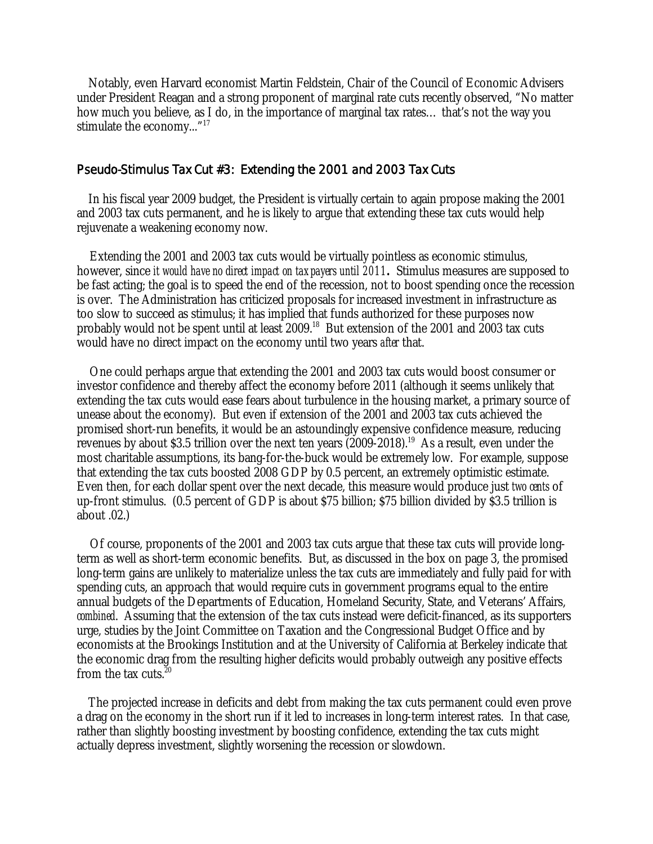Notably, even Harvard economist Martin Feldstein, Chair of the Council of Economic Advisers under President Reagan and a strong proponent of marginal rate cuts recently observed, "No matter how much you believe, as I do, in the importance of marginal tax rates… that's not the way you stimulate the economy..."<sup>17</sup>

### Pseudo-Stimulus Tax Cut #3: Extending the 2001 and 2003 Tax Cuts

In his fiscal year 2009 budget, the President is virtually certain to again propose making the 2001 and 2003 tax cuts permanent, and he is likely to argue that extending these tax cuts would help rejuvenate a weakening economy now.

Extending the 2001 and 2003 tax cuts would be virtually pointless as economic stimulus, however, since *it would have no direct impact on taxpayers until 2011***.** Stimulus measures are supposed to be fast acting; the goal is to speed the end of the recession, not to boost spending once the recession is over. The Administration has criticized proposals for increased investment in infrastructure as too slow to succeed as stimulus; it has implied that funds authorized for these purposes now probably would not be spent until at least 2009.<sup>18</sup> But extension of the 2001 and 2003 tax cuts would have no direct impact on the economy until two years *after* that.

One could perhaps argue that extending the 2001 and 2003 tax cuts would boost consumer or investor confidence and thereby affect the economy before 2011 (although it seems unlikely that extending the tax cuts would ease fears about turbulence in the housing market, a primary source of unease about the economy). But even if extension of the 2001 and 2003 tax cuts achieved the promised short-run benefits, it would be an astoundingly expensive confidence measure, reducing revenues by about \$3.5 trillion over the next ten years  $(2009-2018).$ <sup>19</sup> As a result, even under the most charitable assumptions, its bang-for-the-buck would be extremely low. For example, suppose that extending the tax cuts boosted 2008 GDP by 0.5 percent, an extremely optimistic estimate. Even then, for each dollar spent over the next decade, this measure would produce just *two cents* of up-front stimulus. (0.5 percent of GDP is about \$75 billion; \$75 billion divided by \$3.5 trillion is about .02.)

Of course, proponents of the 2001 and 2003 tax cuts argue that these tax cuts will provide longterm as well as short-term economic benefits. But, as discussed in the box on page 3, the promised long-term gains are unlikely to materialize unless the tax cuts are immediately and fully paid for with spending cuts, an approach that would require cuts in government programs equal to the entire annual budgets of the Departments of Education, Homeland Security, State, and Veterans' Affairs, *combined*. Assuming that the extension of the tax cuts instead were deficit-financed, as its supporters urge, studies by the Joint Committee on Taxation and the Congressional Budget Office and by economists at the Brookings Institution and at the University of California at Berkeley indicate that the economic drag from the resulting higher deficits would probably outweigh any positive effects from the tax cuts.<sup>20</sup>

The projected increase in deficits and debt from making the tax cuts permanent could even prove a drag on the economy in the short run if it led to increases in long-term interest rates. In that case, rather than slightly boosting investment by boosting confidence, extending the tax cuts might actually depress investment, slightly worsening the recession or slowdown.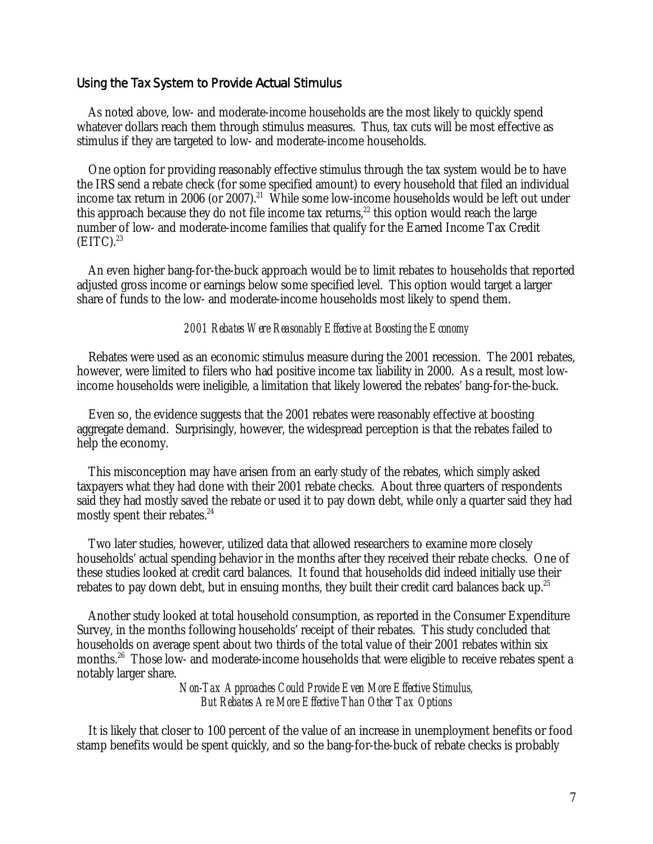#### Using the Tax System to Provide *Actual* Stimulus

 As noted above, low- and moderate-income households are the most likely to quickly spend whatever dollars reach them through stimulus measures. Thus, tax cuts will be most effective as stimulus if they are targeted to low- and moderate-income households.

 One option for providing reasonably effective stimulus through the tax system would be to have the IRS send a rebate check (for some specified amount) to every household that filed an individual income tax return in 2006 (or 2007).<sup>21</sup> While some low-income households would be left out under this approach because they do not file income tax returns,<sup>22</sup> this option would reach the large number of low- and moderate-income families that qualify for the Earned Income Tax Credit  $(EITC).<sup>23</sup>$ 

 An even higher bang-for-the-buck approach would be to limit rebates to households that reported adjusted gross income or earnings below some specified level. This option would target a larger share of funds to the low- and moderate-income households most likely to spend them.

#### *2001 Rebates Were Reasonably Effective at Boosting the Economy*

 Rebates were used as an economic stimulus measure during the 2001 recession. The 2001 rebates, however, were limited to filers who had positive income tax liability in 2000. As a result, most lowincome households were ineligible, a limitation that likely lowered the rebates' bang-for-the-buck.

 Even so, the evidence suggests that the 2001 rebates were reasonably effective at boosting aggregate demand. Surprisingly, however, the widespread perception is that the rebates failed to help the economy.

 This misconception may have arisen from an early study of the rebates, which simply asked taxpayers what they had done with their 2001 rebate checks. About three quarters of respondents said they had mostly saved the rebate or used it to pay down debt, while only a quarter said they had mostly spent their rebates.<sup>24</sup>

 Two later studies, however, utilized data that allowed researchers to examine more closely households' actual spending behavior in the months after they received their rebate checks. One of these studies looked at credit card balances. It found that households did indeed initially use their rebates to pay down debt, but in ensuing months, they built their credit card balances back up.<sup>25</sup>

 Another study looked at total household consumption, as reported in the Consumer Expenditure Survey, in the months following households' receipt of their rebates. This study concluded that households on average spent about two thirds of the total value of their 2001 rebates within six months.26 Those low- and moderate-income households that were eligible to receive rebates spent a notably larger share.

> *Non-Tax Approaches Could Provide Even More Effective Stimulus, But Rebates Are More Effective Than Other Tax Options*

 It is likely that closer to 100 percent of the value of an increase in unemployment benefits or food stamp benefits would be spent quickly, and so the bang-for-the-buck of rebate checks is probably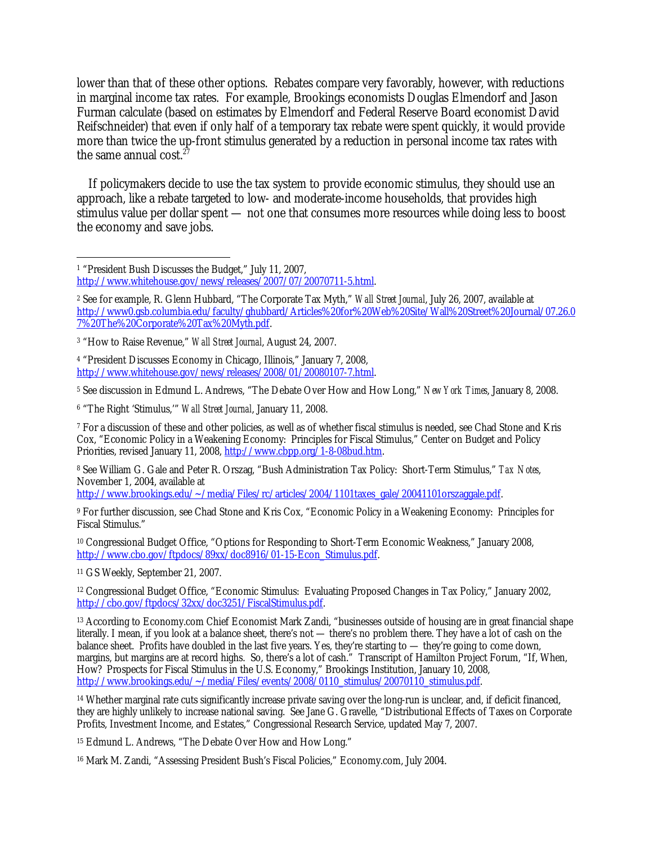lower than that of these other options. Rebates compare very favorably, however, with reductions in marginal income tax rates. For example, Brookings economists Douglas Elmendorf and Jason Furman calculate (based on estimates by Elmendorf and Federal Reserve Board economist David Reifschneider) that even if only half of a temporary tax rebate were spent quickly, it would provide more than twice the up-front stimulus generated by a reduction in personal income tax rates with the same annual cost. $27$ 

 If policymakers decide to use the tax system to provide economic stimulus, they should use an approach, like a rebate targeted to low- and moderate-income households, that provides high stimulus value per dollar spent — not one that consumes more resources while doing less to boost the economy and save jobs.

4 "President Discusses Economy in Chicago, Illinois," January 7, 2008, http://www.whitehouse.gov/news/releases/2008/01/20080107-7.html.

5 See discussion in Edmund L. Andrews, "The Debate Over How and How Long," *New York Times*, January 8, 2008.

6 "The Right 'Stimulus,'" *Wall Street Journal*, January 11, 2008.

7 For a discussion of these and other policies, as well as of whether fiscal stimulus is needed, see Chad Stone and Kris Cox, "Economic Policy in a Weakening Economy: Principles for Fiscal Stimulus," Center on Budget and Policy Priorities, revised January 11, 2008, http://www.cbpp.org/1-8-08bud.htm.

8 See William G. Gale and Peter R. Orszag, "Bush Administration Tax Policy: Short-Term Stimulus," *Tax Notes*, November 1, 2004, available at

http://www.brookings.edu/~/media/Files/rc/articles/2004/1101taxes\_gale/20041101orszaggale.pdf.

9 For further discussion, see Chad Stone and Kris Cox, "Economic Policy in a Weakening Economy: Principles for Fiscal Stimulus."

10 Congressional Budget Office, "Options for Responding to Short-Term Economic Weakness," January 2008, http://www.cbo.gov/ftpdocs/89xx/doc8916/01-15-Econ\_Stimulus.pdf.

11 GS Weekly, September 21, 2007.

12 Congressional Budget Office, "Economic Stimulus: Evaluating Proposed Changes in Tax Policy," January 2002, http://cbo.gov/ftpdocs/32xx/doc3251/FiscalStimulus.pdf.

13 According to Economy.com Chief Economist Mark Zandi, "businesses outside of housing are in great financial shape literally. I mean, if you look at a balance sheet, there's not — there's no problem there. They have a lot of cash on the balance sheet. Profits have doubled in the last five years. Yes, they're starting to — they're going to come down, margins, but margins are at record highs. So, there's a lot of cash." Transcript of Hamilton Project Forum, "If, When, How? Prospects for Fiscal Stimulus in the U.S. Economy," Brookings Institution, January 10, 2008, http://www.brookings.edu/~/media/Files/events/2008/0110\_stimulus/20070110\_stimulus.pdf.

14 Whether marginal rate cuts significantly increase private saving over the long-run is unclear, and, if deficit financed, they are highly unlikely to increase national saving. See Jane G. Gravelle, "Distributional Effects of Taxes on Corporate Profits, Investment Income, and Estates," Congressional Research Service, updated May 7, 2007.

15 Edmund L. Andrews, "The Debate Over How and How Long."

16 Mark M. Zandi, "Assessing President Bush's Fiscal Policies," Economy.com, July 2004.

<sup>-</sup>1 "President Bush Discusses the Budget," July 11, 2007,

http://www.whitehouse.gov/news/releases/2007/07/20070711-5.html.

<sup>2</sup> See for example, R. Glenn Hubbard, "The Corporate Tax Myth," *Wall Street Journal*, July 26, 2007, available at http://www0.gsb.columbia.edu/faculty/ghubbard/Articles%20for%20Web%20Site/Wall%20Street%20Journal/07.26.0 7%20The%20Corporate%20Tax%20Myth.pdf.

<sup>3 &</sup>quot;How to Raise Revenue," *Wall Street Journal*, August 24, 2007.